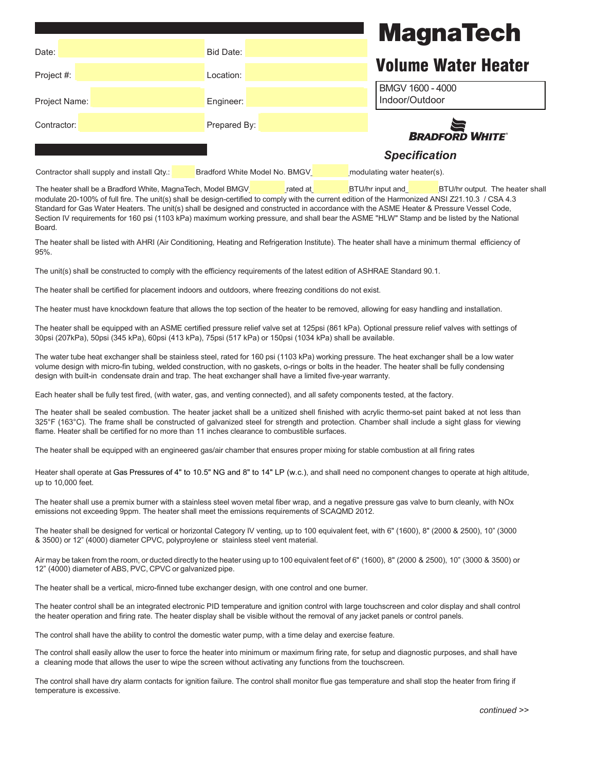## **MagnaTech**

| Date:         | Bid Date:    |                            |
|---------------|--------------|----------------------------|
|               |              | <b>Volume Water Heater</b> |
| Project #:    | Location:    |                            |
|               |              | BMGV 1600 - 4000           |
| Project Name: | Engineer:    | Indoor/Outdoor             |
| Contractor:   | Prepared By: |                            |
|               |              | <b>BRADFORD WHITE</b>      |
|               |              | <b>Specification</b>       |

Contractor shall supply and install Qty.: \_\_\_\_\_\_ Bradford White Model No. BMGV\_\_\_\_\_\_\_\_\_\_\_\_modulating water heater(s).

The heater shall be a Bradford White, MagnaTech, Model BMGV rated at BTU/hr input and BTU/hr input and BTU/hr output. The heater shall modulate 20-100% of full fire. The unit(s) shall be design-certified to comply with the current edition of the Harmonized ANSI Z21.10.3 / CSA 4.3 Standard for Gas Water Heaters. The unit(s) shall be designed and constructed in accordance with the ASME Heater & Pressure Vessel Code, Section IV requirements for 160 psi (1103 kPa) maximum working pressure, and shall bear the ASME "HLW" Stamp and be listed by the National **Board** 

The heater shall be listed with AHRI (Air Conditioning, Heating and Refrigeration Institute). The heater shall have a minimum thermal efficiency of 95%.

The unit(s) shall be constructed to comply with the efficiency requirements of the latest edition of ASHRAE Standard 90.1.

The heater shall be certified for placement indoors and outdoors, where freezing conditions do not exist.

The heater must have knockdown feature that allows the top section of the heater to be removed, allowing for easy handling and installation.

The heater shall be equipped with an ASME certified pressure relief valve set at 125psi (861 kPa). Optional pressure relief valves with settings of 30psi (207kPa), 50psi (345 kPa), 60psi (413 kPa), 75psi (517 kPa) or 150psi (1034 kPa) shall be available.

The water tube heat exchanger shall be stainless steel, rated for 160 psi (1103 kPa) working pressure. The heat exchanger shall be a low water volume design with micro-fin tubing, welded construction, with no gaskets, o-rings or bolts in the header. The heater shall be fully condensing design with built-in condensate drain and trap. The heat exchanger shall have a limited five-year warranty.

Each heater shall be fully test fired, (with water, gas, and venting connected), and all safety components tested, at the factory.

The heater shall be sealed combustion. The heater jacket shall be a unitized shell finished with acrylic thermo-set paint baked at not less than 325°F (163°C). The frame shall be constructed of galvanized steel for strength and protection. Chamber shall include a sight glass for viewing flame. Heater shall be certified for no more than 11 inches clearance to combustible surfaces.

The heater shall be equipped with an engineered gas/air chamber that ensures proper mixing for stable combustion at all firing rates

Heater shall operate at Gas Pressures of 4" to 10.5" NG and 8" to 14" LP (w.c.), and shall need no component changes to operate at high altitude, up to 10,000 feet.

The heater shall use a premix burner with a stainless steel woven metal fiber wrap, and a negative pressure gas valve to burn cleanly, with NOx emissions not exceeding 9ppm. The heater shall meet the emissions requirements of SCAQMD 2012.

The heater shall be designed for vertical or horizontal Category IV venting, up to 100 equivalent feet, with 6" (1600), 8" (2000 & 2500), 10" (3000 & 3500) or 12" (4000) diameter CPVC, polyproylene or stainless steel vent material.

Air may be taken from the room, or ducted directly to the heater using up to 100 equivalent feet of 6" (1600), 8" (2000 & 2500), 10" (3000 & 3500) or 12" (4000) diameter of ABS, PVC, CPVC or galvanized pipe.

The heater shall be a vertical, micro-finned tube exchanger design, with one control and one burner.

The heater control shall be an integrated electronic PID temperature and ignition control with large touchscreen and color display and shall control the heater operation and firing rate. The heater display shall be visible without the removal of any jacket panels or control panels.

The control shall have the ability to control the domestic water pump, with a time delay and exercise feature.

The control shall easily allow the user to force the heater into minimum or maximum firing rate, for setup and diagnostic purposes, and shall have a cleaning mode that allows the user to wipe the screen without activating any functions from the touchscreen.

The control shall have dry alarm contacts for ignition failure. The control shall monitor flue gas temperature and shall stop the heater from firing if temperature is excessive.